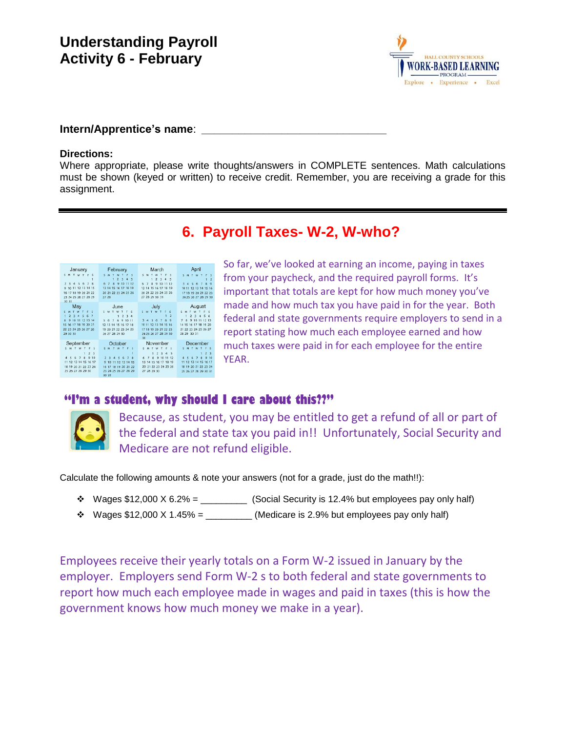

### **Intern/Apprentice's name**: *\_\_\_\_\_\_\_\_\_\_\_\_\_\_\_\_\_\_\_\_\_\_\_\_\_\_\_\_\_\_*

#### **Directions:**

Where appropriate, please write thoughts/answers in COMPLETE sentences. Math calculations must be shown (keyed or written) to receive credit. Remember, you are receiving a grade for this assignment.

# **6. Payroll Taxes- W-2, W-who?**

| January<br>s<br>$\mathbf{w}$<br>4 5 6 7 8<br>$\mathcal{R}$                                                                                                                             | February<br>s<br>M<br>$\sim$<br>234<br>٠<br>5<br>91011<br>67<br>$\mathbf{a}$<br>12                                                                                                                  | March<br>S M<br>2 <sup>3</sup><br>4 <sub>5</sub><br>1<br>8<br>$\mathbf{Q}$<br>10 11<br>$\overline{7}$<br>12                                                                                                                  | April<br>$S$ M<br>$\overline{z}$<br>$\overline{9}$<br>56<br>7                                                                                                                                                  |
|----------------------------------------------------------------------------------------------------------------------------------------------------------------------------------------|-----------------------------------------------------------------------------------------------------------------------------------------------------------------------------------------------------|------------------------------------------------------------------------------------------------------------------------------------------------------------------------------------------------------------------------------|----------------------------------------------------------------------------------------------------------------------------------------------------------------------------------------------------------------|
| 9 10 11 12 13 14 15<br>16 17 18 19 20 21 22<br>23 24 25 26 27 28 29<br>30 31                                                                                                           | 13 14 15 16 17 18 19<br>20 21 22 23 24 25 26<br>27 28                                                                                                                                               | 13 14 15 16 17 18 19<br>20 21 22 23 24 25 26<br>27 28 29 30 31                                                                                                                                                               | 10 11 12 13 14 15 16<br>17 18 19 20 21 22 23<br>24 25 26 27 28 29 30                                                                                                                                           |
| May<br>S M T W<br>×<br>$\sim$ 5<br>4 <sub>5</sub><br>2 <sup>3</sup><br>6<br>$\mathbf{I}$<br>10 11 12 13 14<br>$\mathbf{Q}$<br>15 16 17 18 19 20 21<br>22 23 24 25 26 27 28<br>29 30 31 | June<br>$S$ $M$<br>W<br>$\sim$<br>$\overline{a}$<br>$\overline{ }$<br>1<br>$\overline{A}$<br>8<br>9 10 11<br>56<br>$\overline{z}$<br>12 13 14 15 16 17 18<br>19 20 21 22 23 24 25<br>26 27 28 29 30 | July<br>M T W T<br>F <sub>S</sub><br>$\leq$<br>$\overline{2}$<br>1<br>$\mathbf{a}$<br>$\mathbf{z}$<br>$\mathbf{Q}$<br>$\overline{A}$<br>456<br>12 13 14 15 16<br>10 11<br>17 18 19 20 21 22 23<br>24 25 26 27 28 29 30<br>31 | August<br>F<<br>$\tau$<br>$\sim$<br>M<br>w<br>$\overline{3}$<br>$\overline{A}$<br>$\sim$<br>$\overline{ }$<br>-6<br>10 11 12 13<br>$\circ$<br>7<br>14 15 16 17 18 19 20<br>21 22 23 24 25 26 27<br>28 29 30 31 |
| September<br>w<br>$\mathbf{r}$<br>$\mathbf{r}$<br>2 <sup>3</sup><br>$\mathbf{1}$<br>$\overline{9}$<br>6 7 8<br>10<br>-5                                                                | October<br>$\epsilon$<br>w<br>$\mathbf{r}$<br>- 0<br>S M T<br>$\overline{z}$<br>$\mathbb{R}$<br>$\overline{\phantom{a}}$<br>6<br>$\mathcal{L}$<br>$\overline{a}$                                    | November<br>$\epsilon$<br>$\epsilon$<br>M<br>W<br>$\mathbf{r}$<br>2 <sup>3</sup><br>$\overline{A}$<br>5<br>T<br>$\mathbf{a}$<br>9 10 11<br>6<br>$\overline{z}$<br>12                                                         | December<br>M<br>w<br>s.<br>T<br>1<br>2 <sup>3</sup><br>7 <sub>8</sub><br>9,10<br>6<br>E                                                                                                                       |
| 12 13 14 15 16 17<br>11<br>19 20 21 22 23 24<br>18<br>25 26 27 28 29 30                                                                                                                | 9 10 11 12 13 14 15<br>16 17 18 19 20 21 22<br>23 24 25 26 27 28 29                                                                                                                                 | 13 14 15 16 17 18 19<br>20 21 22 23 24 25 26<br>27 28 29 30                                                                                                                                                                  | 12<br>13 14 15<br>16 17<br>11<br>18 19 20 21 22 23 24<br>25 26 27 28 29 30 31                                                                                                                                  |

So far, we've looked at earning an income, paying in taxes from your paycheck, and the required payroll forms. It's important that totals are kept for how much money you've made and how much tax you have paid in for the year. Both federal and state governments require employers to send in a report stating how much each employee earned and how much taxes were paid in for each employee for the entire YEAR.

### **"I'm a student, why should I care about this??"**



Because, as student, you may be entitled to get a refund of all or part of the federal and state tax you paid in!! Unfortunately, Social Security and Medicare are not refund eligible.

Calculate the following amounts & note your answers (not for a grade, just do the math!!):

- $\cdot \cdot$  Wages \$12,000 X 6.2% = \_\_\_\_\_\_\_\_\_\_\_\_ (Social Security is 12.4% but employees pay only half)
- $\cdot$  Wages \$12,000 X 1.45% = \_\_\_\_\_\_\_\_\_\_ (Medicare is 2.9% but employees pay only half)

Employees receive their yearly totals on a Form W-2 issued in January by the employer. Employers send Form W-2 s to both federal and state governments to report how much each employee made in wages and paid in taxes (this is how the government knows how much money we make in a year).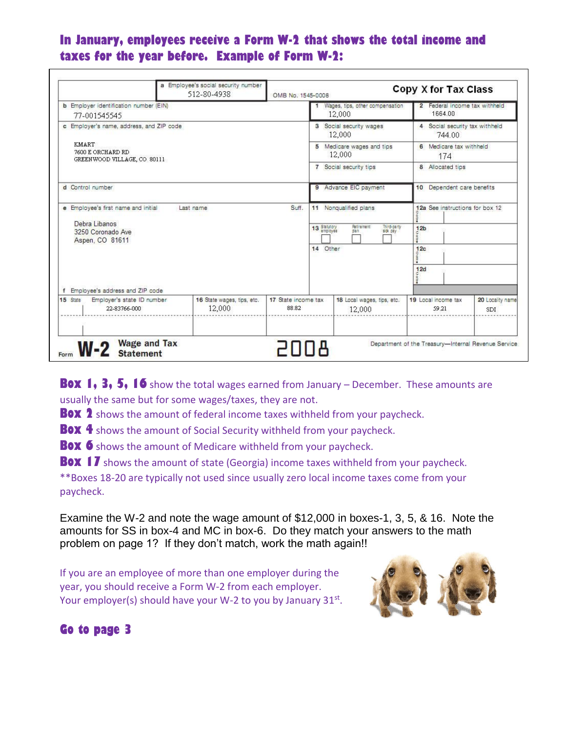## **In January, employees receive a Form W-2 that shows the total income and taxes for the year before. Example of Form W-2:**

|                                                                                                                                   | a Employee's social security number<br>512-80-4938 | Copy X for Tax Class<br>OMB No. 1545-0008 |                                           |                                                                        |                                                                              |                                |
|-----------------------------------------------------------------------------------------------------------------------------------|----------------------------------------------------|-------------------------------------------|-------------------------------------------|------------------------------------------------------------------------|------------------------------------------------------------------------------|--------------------------------|
| <b>b</b> Employer identification number (EIN)<br>77-001545545                                                                     |                                                    |                                           | Wages, tips, other compensation<br>12,000 |                                                                        | 2 Federal income tax withheld<br>1664.00                                     |                                |
| c Employer's name, address, and ZIP code<br>KMART<br>7600 E ORCHARD RD<br>GREENWOOD VILLAGE, CO 80111                             |                                                    |                                           | 3 Social security wages<br>12,000         |                                                                        | 4 Social security tax withheld<br>744 00                                     |                                |
|                                                                                                                                   |                                                    |                                           | 5 Medicare wages and tips<br>12.000       |                                                                        | 6 Medicare tax withheld<br>174                                               |                                |
|                                                                                                                                   |                                                    |                                           | 7 Social security tips                    |                                                                        | 8 Allocated tips                                                             |                                |
| d Control number                                                                                                                  |                                                    |                                           | 9 Advance EIC payment                     |                                                                        | 10 Dependent care benefits                                                   |                                |
| e Employee's first name and initial<br>Debra Libanos<br>3250 Coronado Ave<br>Aspen, CO 81611<br>f Employee's address and ZIP code | Last name                                          | Suff.                                     | 13 Statutory<br>14 Other                  | 11 Nonqualified plans<br>inird-party<br>Retirement<br>sick pay<br>tian | 12a See instructions for box 12<br>12 <sub>b</sub><br>12c<br>eo,<br>12d<br>ă |                                |
| Employer's state ID number<br>15 State<br>22-83766-000                                                                            | 16 State wages, tips, etc.<br>12,000               | 17 State income tax<br>88.82              |                                           | 18 Local wages, tips, etc.<br>12,000                                   | 19 Local income tax<br>59.21                                                 | 20 Locality name<br><b>SDI</b> |
| <b>Wage and Tax</b><br>$W-2$<br><b>Statement</b><br>Form                                                                          |                                                    |                                           |                                           |                                                                        | Department of the Treasury-Internal Revenue Service                          |                                |

**Box 1, 3, 5, 16** show the total wages earned from January – December. These amounts are usually the same but for some wages/taxes, they are not.

**Box 2** shows the amount of federal income taxes withheld from your paycheck.

**Box 4** shows the amount of Social Security withheld from your paycheck.

**Box 6** shows the amount of Medicare withheld from your paycheck.

**BOX 17** shows the amount of state (Georgia) income taxes withheld from your paycheck.

\*\*Boxes 18-20 are typically not used since usually zero local income taxes come from your paycheck.

Examine the W-2 and note the wage amount of \$12,000 in boxes-1, 3, 5, & 16. Note the amounts for SS in box-4 and MC in box-6. Do they match your answers to the math problem on page 1? If they don't match, work the math again!!

If you are an employee of more than one employer during the year, you should receive a Form W-2 from each employer. Your employer(s) should have your W-2 to you by January 31st.



**Go to page 3**